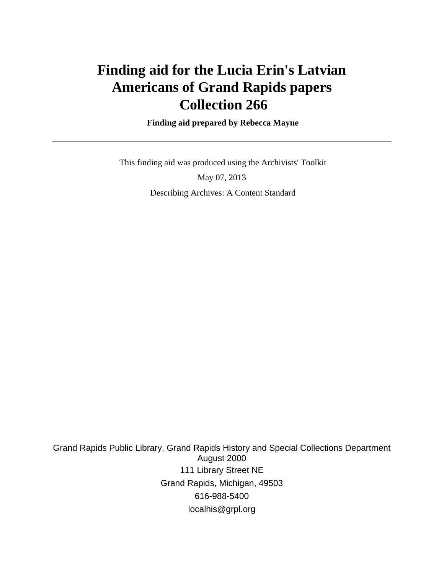# **Finding aid for the Lucia Erin's Latvian Americans of Grand Rapids papers Collection 266**

 **Finding aid prepared by Rebecca Mayne**

 This finding aid was produced using the Archivists' Toolkit May 07, 2013 Describing Archives: A Content Standard

Grand Rapids Public Library, Grand Rapids History and Special Collections Department August 2000 111 Library Street NE Grand Rapids, Michigan, 49503 616-988-5400 localhis@grpl.org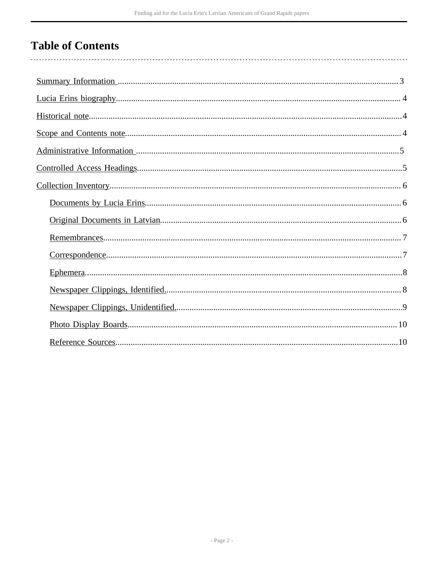# **Table of Contents**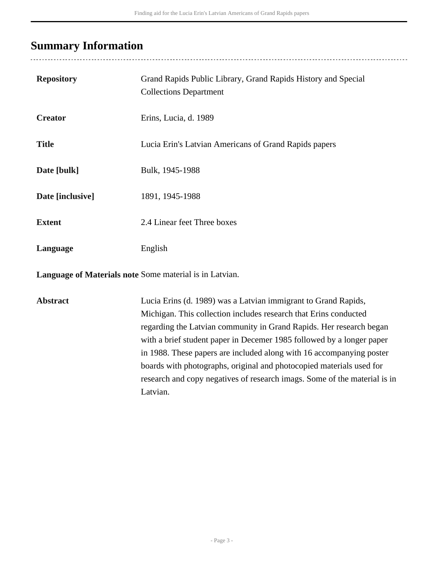## <span id="page-2-0"></span>**Summary Information**

| <b>Repository</b> | Grand Rapids Public Library, Grand Rapids History and Special<br><b>Collections Department</b> |
|-------------------|------------------------------------------------------------------------------------------------|
| <b>Creator</b>    | Erins, Lucia, d. 1989                                                                          |
| <b>Title</b>      | Lucia Erin's Latvian Americans of Grand Rapids papers                                          |
| Date [bulk]       | Bulk, 1945-1988                                                                                |
| Date [inclusive]  | 1891, 1945-1988                                                                                |
| <b>Extent</b>     | 2.4 Linear feet Three boxes                                                                    |
| Language          | English                                                                                        |
|                   |                                                                                                |

**Language of Materials note** Some material is in Latvian.

**Abstract** Lucia Erins (d. 1989) was a Latvian immigrant to Grand Rapids, Michigan. This collection includes research that Erins conducted regarding the Latvian community in Grand Rapids. Her research began with a brief student paper in Decemer 1985 followed by a longer paper in 1988. These papers are included along with 16 accompanying poster boards with photographs, original and photocopied materials used for research and copy negatives of research imags. Some of the material is in Latvian.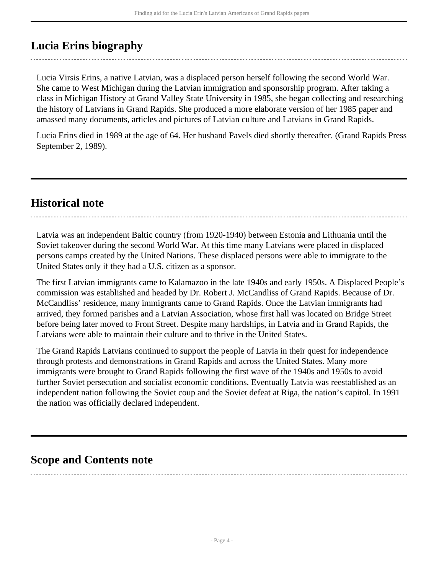## <span id="page-3-0"></span>**Lucia Erins biography**

Lucia Virsis Erins, a native Latvian, was a displaced person herself following the second World War. She came to West Michigan during the Latvian immigration and sponsorship program. After taking a class in Michigan History at Grand Valley State University in 1985, she began collecting and researching the history of Latvians in Grand Rapids. She produced a more elaborate version of her 1985 paper and amassed many documents, articles and pictures of Latvian culture and Latvians in Grand Rapids.

Lucia Erins died in 1989 at the age of 64. Her husband Pavels died shortly thereafter. (Grand Rapids Press September 2, 1989).

### <span id="page-3-1"></span>**Historical note**

Latvia was an independent Baltic country (from 1920-1940) between Estonia and Lithuania until the Soviet takeover during the second World War. At this time many Latvians were placed in displaced persons camps created by the United Nations. These displaced persons were able to immigrate to the United States only if they had a U.S. citizen as a sponsor.

The first Latvian immigrants came to Kalamazoo in the late 1940s and early 1950s. A Displaced People's commission was established and headed by Dr. Robert J. McCandliss of Grand Rapids. Because of Dr. McCandliss' residence, many immigrants came to Grand Rapids. Once the Latvian immigrants had arrived, they formed parishes and a Latvian Association, whose first hall was located on Bridge Street before being later moved to Front Street. Despite many hardships, in Latvia and in Grand Rapids, the Latvians were able to maintain their culture and to thrive in the United States.

The Grand Rapids Latvians continued to support the people of Latvia in their quest for independence through protests and demonstrations in Grand Rapids and across the United States. Many more immigrants were brought to Grand Rapids following the first wave of the 1940s and 1950s to avoid further Soviet persecution and socialist economic conditions. Eventually Latvia was reestablished as an independent nation following the Soviet coup and the Soviet defeat at Riga, the nation's capitol. In 1991 the nation was officially declared independent.

### <span id="page-3-2"></span>**Scope and Contents note**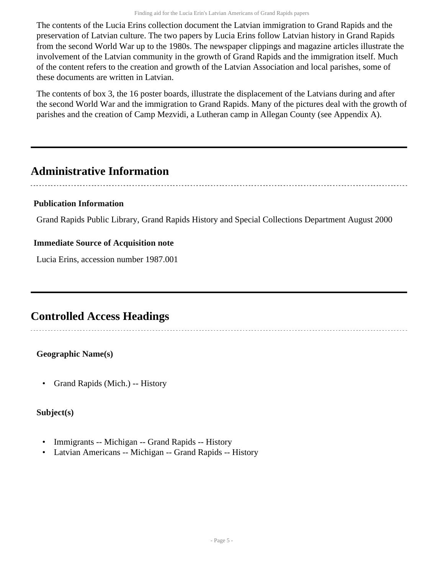The contents of the Lucia Erins collection document the Latvian immigration to Grand Rapids and the preservation of Latvian culture. The two papers by Lucia Erins follow Latvian history in Grand Rapids from the second World War up to the 1980s. The newspaper clippings and magazine articles illustrate the involvement of the Latvian community in the growth of Grand Rapids and the immigration itself. Much of the content refers to the creation and growth of the Latvian Association and local parishes, some of these documents are written in Latvian.

The contents of box 3, the 16 poster boards, illustrate the displacement of the Latvians during and after the second World War and the immigration to Grand Rapids. Many of the pictures deal with the growth of parishes and the creation of Camp Mezvidi, a Lutheran camp in Allegan County (see Appendix A).

### <span id="page-4-0"></span>**Administrative Information**

#### **Publication Information**

Grand Rapids Public Library, Grand Rapids History and Special Collections Department August 2000

#### **Immediate Source of Acquisition note**

Lucia Erins, accession number 1987.001

### <span id="page-4-1"></span>**Controlled Access Headings**

#### **Geographic Name(s)**

• Grand Rapids (Mich.) -- History

#### **Subject(s)**

- Immigrants -- Michigan -- Grand Rapids -- History
- Latvian Americans -- Michigan -- Grand Rapids -- History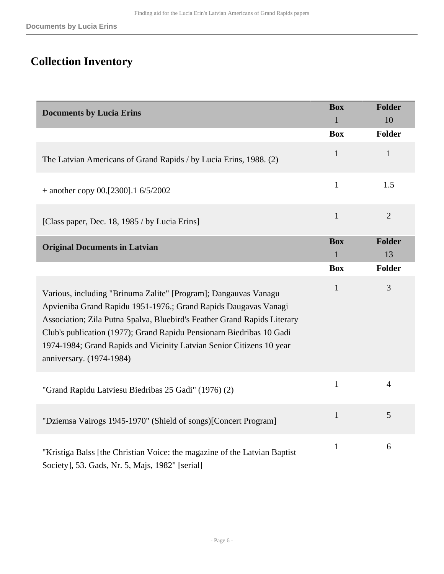# <span id="page-5-0"></span>**Collection Inventory**

<span id="page-5-2"></span><span id="page-5-1"></span>

| <b>Documents by Lucia Erins</b>                                                                                                                                                                                                                                                                                                                                                            | <b>Box</b><br>$\mathbf{1}$ | <b>Folder</b><br>10 |
|--------------------------------------------------------------------------------------------------------------------------------------------------------------------------------------------------------------------------------------------------------------------------------------------------------------------------------------------------------------------------------------------|----------------------------|---------------------|
|                                                                                                                                                                                                                                                                                                                                                                                            | <b>Box</b>                 | <b>Folder</b>       |
| The Latvian Americans of Grand Rapids / by Lucia Erins, 1988. (2)                                                                                                                                                                                                                                                                                                                          | $\mathbf{1}$               | $\mathbf{1}$        |
| $+$ another copy 00.[2300].1 6/5/2002                                                                                                                                                                                                                                                                                                                                                      | $\mathbf{1}$               | 1.5                 |
| [Class paper, Dec. 18, 1985 / by Lucia Erins]                                                                                                                                                                                                                                                                                                                                              | $\mathbf{1}$               | $\mathbf{2}$        |
| <b>Original Documents in Latvian</b>                                                                                                                                                                                                                                                                                                                                                       | <b>Box</b><br>1            | <b>Folder</b><br>13 |
|                                                                                                                                                                                                                                                                                                                                                                                            | <b>Box</b>                 | <b>Folder</b>       |
| Various, including "Brinuma Zalite" [Program]; Dangauvas Vanagu<br>Apvieniba Grand Rapidu 1951-1976.; Grand Rapids Daugavas Vanagi<br>Association; Zila Putna Spalva, Bluebird's Feather Grand Rapids Literary<br>Club's publication (1977); Grand Rapidu Pensionarn Biedribas 10 Gadi<br>1974-1984; Grand Rapids and Vicinity Latvian Senior Citizens 10 year<br>anniversary. (1974-1984) | $\mathbf{1}$               | $\mathfrak{Z}$      |
| "Grand Rapidu Latviesu Biedribas 25 Gadi" (1976) (2)                                                                                                                                                                                                                                                                                                                                       | $\mathbf{1}$               | $\overline{4}$      |
| "Dziemsa Vairogs 1945-1970" (Shield of songs)[Concert Program]                                                                                                                                                                                                                                                                                                                             | $\mathbf{1}$               | 5                   |
| "Kristiga Balss [the Christian Voice: the magazine of the Latvian Baptist<br>Society], 53. Gads, Nr. 5, Majs, 1982" [serial]                                                                                                                                                                                                                                                               | $\mathbf{1}$               | 6                   |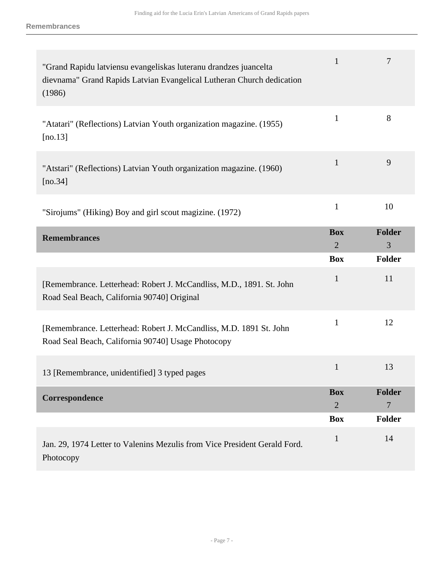<span id="page-6-1"></span><span id="page-6-0"></span>

| "Grand Rapidu latviensu evangeliskas luteranu drandzes juancelta<br>dievnama" Grand Rapids Latvian Evangelical Lutheran Church dedication<br>(1986) | $\mathbf{1}$                 | $\overline{7}$     |
|-----------------------------------------------------------------------------------------------------------------------------------------------------|------------------------------|--------------------|
| "Atatari" (Reflections) Latvian Youth organization magazine. (1955)<br>[ $no.13$ ]                                                                  | $\mathbf{1}$                 | 8                  |
| "Atstari" (Reflections) Latvian Youth organization magazine. (1960)<br>[ $no.34$ ]                                                                  | $\mathbf{1}$                 | 9                  |
| "Sirojums" (Hiking) Boy and girl scout magizine. (1972)                                                                                             | $\mathbf{1}$                 | 10                 |
| <b>Remembrances</b>                                                                                                                                 | <b>Box</b><br>$\overline{2}$ | <b>Folder</b><br>3 |
|                                                                                                                                                     | <b>Box</b>                   | <b>Folder</b>      |
| [Remembrance. Letterhead: Robert J. McCandliss, M.D., 1891. St. John<br>Road Seal Beach, California 90740] Original                                 | $\mathbf{1}$                 | 11                 |
| [Remembrance. Letterhead: Robert J. McCandliss, M.D. 1891 St. John<br>Road Seal Beach, California 90740] Usage Photocopy                            | 1                            | 12                 |
| 13 [Remembrance, unidentified] 3 typed pages                                                                                                        | $\mathbf{1}$                 | 13                 |
| Correspondence                                                                                                                                      | <b>Box</b><br>$\overline{2}$ | <b>Folder</b><br>7 |
|                                                                                                                                                     | <b>Box</b>                   | <b>Folder</b>      |
| Jan. 29, 1974 Letter to Valenins Mezulis from Vice President Gerald Ford.<br>Photocopy                                                              | 1                            | 14                 |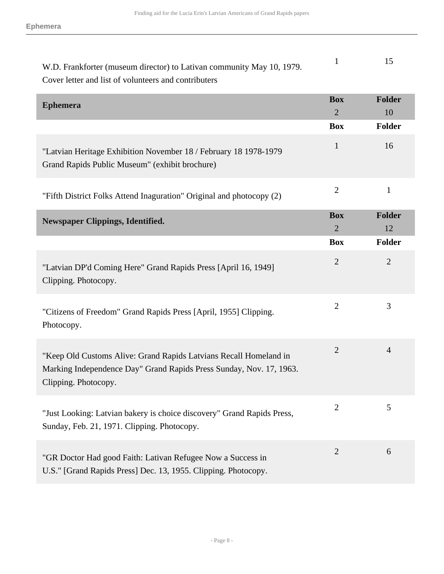<span id="page-7-1"></span><span id="page-7-0"></span>

| W.D. Frankforter (museum director) to Lativan community May 10, 1979.<br>Cover letter and list of volunteers and contributers                                    | $\mathbf{1}$                 | 15                  |
|------------------------------------------------------------------------------------------------------------------------------------------------------------------|------------------------------|---------------------|
| <b>Ephemera</b>                                                                                                                                                  | <b>Box</b><br>$\overline{2}$ | <b>Folder</b><br>10 |
|                                                                                                                                                                  | <b>Box</b>                   | Folder              |
| "Latvian Heritage Exhibition November 18 / February 18 1978-1979<br>Grand Rapids Public Museum" (exhibit brochure)                                               | $\mathbf{1}$                 | 16                  |
| "Fifth District Folks Attend Inaguration" Original and photocopy (2)                                                                                             | $\overline{2}$               | $\mathbf{1}$        |
| <b>Newspaper Clippings, Identified.</b>                                                                                                                          | <b>Box</b>                   | <b>Folder</b>       |
|                                                                                                                                                                  | $\overline{2}$               | 12                  |
|                                                                                                                                                                  | <b>Box</b>                   | Folder              |
| "Latvian DP'd Coming Here" Grand Rapids Press [April 16, 1949]<br>Clipping. Photocopy.                                                                           | $\overline{2}$               | $\overline{2}$      |
| "Citizens of Freedom" Grand Rapids Press [April, 1955] Clipping.<br>Photocopy.                                                                                   | $\overline{2}$               | 3                   |
| "Keep Old Customs Alive: Grand Rapids Latvians Recall Homeland in<br>Marking Independence Day" Grand Rapids Press Sunday, Nov. 17, 1963.<br>Clipping. Photocopy. | $\mathbf{2}$                 | $\overline{4}$      |
| "Just Looking: Latvian bakery is choice discovery" Grand Rapids Press,<br>Sunday, Feb. 21, 1971. Clipping. Photocopy.                                            | $\overline{2}$               | 5                   |
| "GR Doctor Had good Faith: Lativan Refugee Now a Success in<br>U.S." [Grand Rapids Press] Dec. 13, 1955. Clipping. Photocopy.                                    | $\overline{2}$               | 6                   |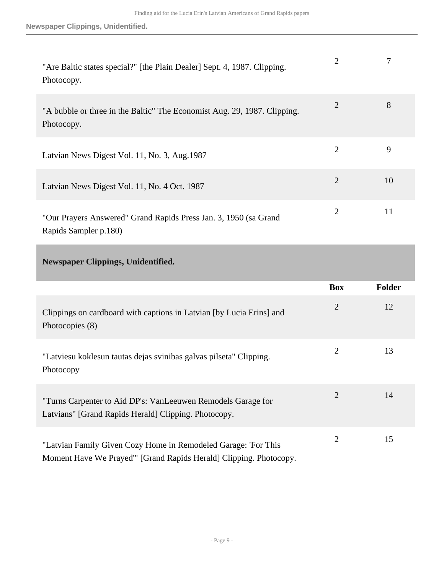| "Are Baltic states special?" [the Plain Dealer] Sept. 4, 1987. Clipping.<br>Photocopy.    | $\overline{2}$ |    |
|-------------------------------------------------------------------------------------------|----------------|----|
| "A bubble or three in the Baltic" The Economist Aug. 29, 1987. Clipping.<br>Photocopy.    | 2              | 8  |
| Latvian News Digest Vol. 11, No. 3, Aug. 1987                                             | $\overline{2}$ | 9  |
| Latvian News Digest Vol. 11, No. 4 Oct. 1987                                              | $\overline{2}$ | 10 |
| "Our Prayers Answered" Grand Rapids Press Jan. 3, 1950 (sa Grand<br>Rapids Sampler p.180) | $\overline{2}$ | 11 |

#### <span id="page-8-0"></span>**Newspaper Clippings, Unidentified.**

|                                                                                                                                     | <b>Box</b>     | <b>Folder</b> |
|-------------------------------------------------------------------------------------------------------------------------------------|----------------|---------------|
| Clippings on cardboard with captions in Latvian [by Lucia Erins] and<br>Photocopies (8)                                             | $\overline{2}$ | 12            |
| "Latviesu koklesun tautas dejas svinibas galvas pilseta" Clipping.<br>Photocopy                                                     | $\overline{2}$ | 13            |
| "Turns Carpenter to Aid DP's: VanLeeuwen Remodels Garage for<br>Latvians" [Grand Rapids Herald] Clipping. Photocopy.                | $\overline{2}$ | 14            |
| "Latvian Family Given Cozy Home in Remodeled Garage: 'For This<br>Moment Have We Prayed" [Grand Rapids Herald] Clipping. Photocopy. | 2              | 15            |